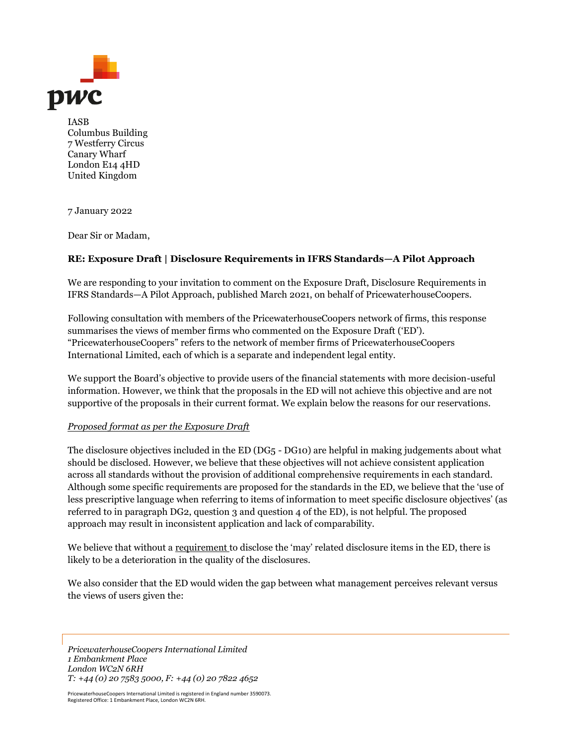

IASB Columbus Building 7 Westferry Circus Canary Wharf London E14 4HD United Kingdom

7 January 2022

Dear Sir or Madam,

# **RE: Exposure Draft | Disclosure Requirements in IFRS Standards—A Pilot Approach**

We are responding to your invitation to comment on the Exposure Draft, Disclosure Requirements in IFRS Standards—A Pilot Approach, published March 2021, on behalf of PricewaterhouseCoopers.

Following consultation with members of the PricewaterhouseCoopers network of firms, this response summarises the views of member firms who commented on the Exposure Draft ('ED'). "PricewaterhouseCoopers" refers to the network of member firms of PricewaterhouseCoopers International Limited, each of which is a separate and independent legal entity.

We support the Board's objective to provide users of the financial statements with more decision-useful information. However, we think that the proposals in the ED will not achieve this objective and are not supportive of the proposals in their current format. We explain below the reasons for our reservations.

#### *Proposed format as per the Exposure Draft*

The disclosure objectives included in the ED (DG5 - DG10) are helpful in making judgements about what should be disclosed. However, we believe that these objectives will not achieve consistent application across all standards without the provision of additional comprehensive requirements in each standard. Although some specific requirements are proposed for the standards in the ED, we believe that the 'use of less prescriptive language when referring to items of information to meet specific disclosure objectives' (as referred to in paragraph DG2, question 3 and question 4 of the ED), is not helpful. The proposed approach may result in inconsistent application and lack of comparability.

We believe that without a requirement to disclose the 'may' related disclosure items in the ED, there is likely to be a deterioration in the quality of the disclosures.

We also consider that the ED would widen the gap between what management perceives relevant versus the views of users given the:

*PricewaterhouseCoopers International Limited 1 Embankment Place London WC2N 6RH T: +44 (0) 20 7583 5000, F: +44 (0) 20 7822 4652*

PricewaterhouseCoopers International Limited is registered in England number 3590073. Registered Office: 1 Embankment Place, London WC2N 6RH.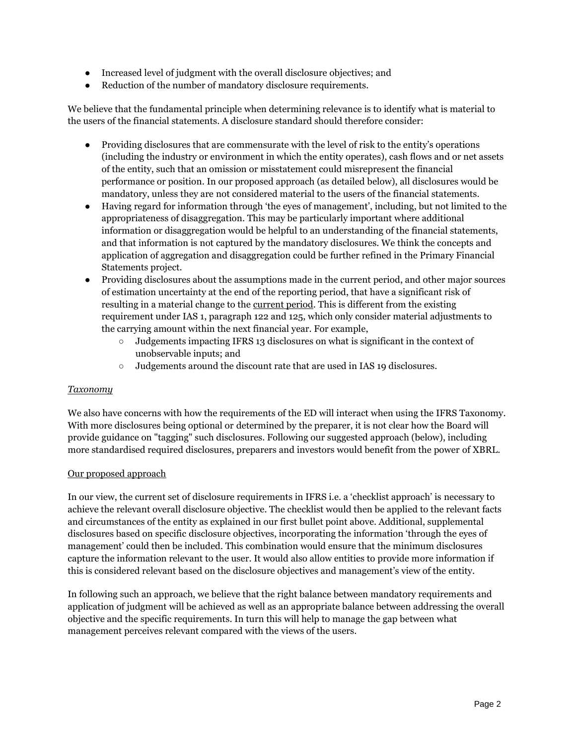- Increased level of judgment with the overall disclosure objectives; and
- Reduction of the number of mandatory disclosure requirements.

We believe that the fundamental principle when determining relevance is to identify what is material to the users of the financial statements. A disclosure standard should therefore consider:

- Providing disclosures that are commensurate with the level of risk to the entity's operations (including the industry or environment in which the entity operates), cash flows and or net assets of the entity, such that an omission or misstatement could misrepresent the financial performance or position. In our proposed approach (as detailed below), all disclosures would be mandatory, unless they are not considered material to the users of the financial statements.
- Having regard for information through 'the eyes of management', including, but not limited to the appropriateness of disaggregation. This may be particularly important where additional information or disaggregation would be helpful to an understanding of the financial statements, and that information is not captured by the mandatory disclosures. We think the concepts and application of aggregation and disaggregation could be further refined in the Primary Financial Statements project.
- Providing disclosures about the assumptions made in the current period, and other major sources of estimation uncertainty at the end of the reporting period, that have a significant risk of resulting in a material change to the current period. This is different from the existing requirement under IAS 1, paragraph 122 and 125, which only consider material adjustments to the carrying amount within the next financial year. For example,
	- Judgements impacting IFRS 13 disclosures on what is significant in the context of unobservable inputs; and
	- Judgements around the discount rate that are used in IAS 19 disclosures.

#### *Taxonomy*

We also have concerns with how the requirements of the ED will interact when using the IFRS Taxonomy. With more disclosures being optional or determined by the preparer, it is not clear how the Board will provide guidance on "tagging" such disclosures. Following our suggested approach (below), including more standardised required disclosures, preparers and investors would benefit from the power of XBRL.

#### Our proposed approach

In our view, the current set of disclosure requirements in IFRS i.e. a 'checklist approach' is necessary to achieve the relevant overall disclosure objective. The checklist would then be applied to the relevant facts and circumstances of the entity as explained in our first bullet point above. Additional, supplemental disclosures based on specific disclosure objectives, incorporating the information 'through the eyes of management' could then be included. This combination would ensure that the minimum disclosures capture the information relevant to the user. It would also allow entities to provide more information if this is considered relevant based on the disclosure objectives and management's view of the entity.

In following such an approach, we believe that the right balance between mandatory requirements and application of judgment will be achieved as well as an appropriate balance between addressing the overall objective and the specific requirements. In turn this will help to manage the gap between what management perceives relevant compared with the views of the users.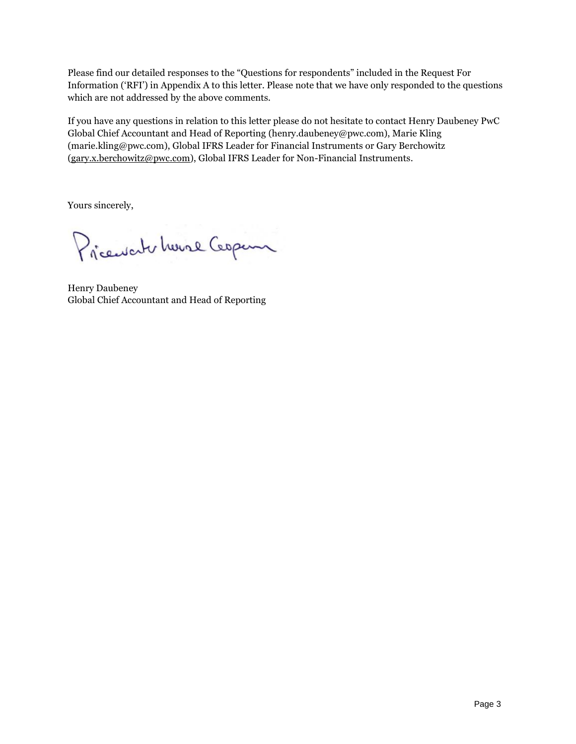Please find our detailed responses to the "Questions for respondents" included in the Request For Information ('RFI') in Appendix A to this letter. Please note that we have only responded to the questions which are not addressed by the above comments.

If you have any questions in relation to this letter please do not hesitate to contact Henry Daubeney PwC Global Chief Accountant and Head of Reporting (henry.daubeney@pwc.com), Marie Kling (marie.kling@pwc.com), Global IFRS Leader for Financial Instruments or Gary Berchowitz [\(gary.x.berchowitz@pwc.com\)](mailto:gary.x.berchowitz@pwc.com), Global IFRS Leader for Non-Financial Instruments.

Yours sincerely,

Pricewaterhouse Cooper

Henry Daubeney Global Chief Accountant and Head of Reporting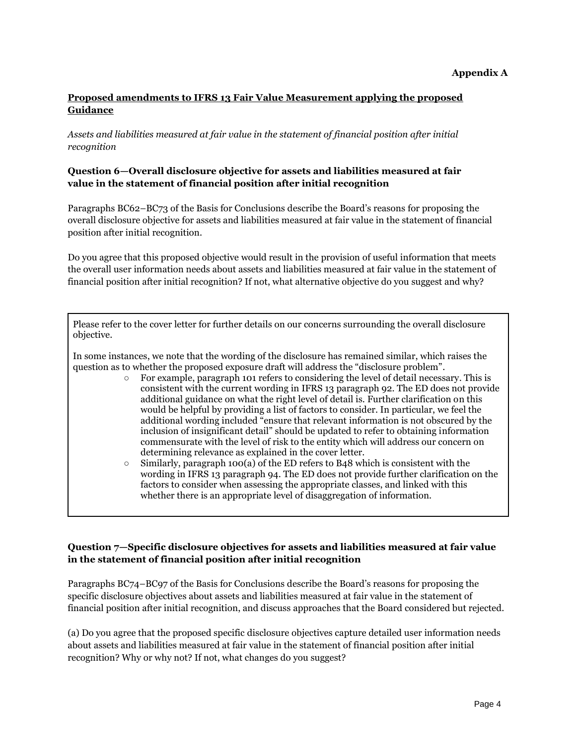# **Proposed amendments to IFRS 13 Fair Value Measurement applying the proposed Guidance**

*Assets and liabilities measured at fair value in the statement of financial position after initial recognition*

#### **Question 6—Overall disclosure objective for assets and liabilities measured at fair value in the statement of financial position after initial recognition**

Paragraphs BC62–BC73 of the Basis for Conclusions describe the Board's reasons for proposing the overall disclosure objective for assets and liabilities measured at fair value in the statement of financial position after initial recognition.

Do you agree that this proposed objective would result in the provision of useful information that meets the overall user information needs about assets and liabilities measured at fair value in the statement of financial position after initial recognition? If not, what alternative objective do you suggest and why?

Please refer to the cover letter for further details on our concerns surrounding the overall disclosure objective.

In some instances, we note that the wording of the disclosure has remained similar, which raises the question as to whether the proposed exposure draft will address the "disclosure problem".

- For example, paragraph 101 refers to considering the level of detail necessary. This is consistent with the current wording in IFRS 13 paragraph 92. The ED does not provide additional guidance on what the right level of detail is. Further clarification on this would be helpful by providing a list of factors to consider. In particular, we feel the additional wording included "ensure that relevant information is not obscured by the inclusion of insignificant detail" should be updated to refer to obtaining information commensurate with the level of risk to the entity which will address our concern on determining relevance as explained in the cover letter.
- $\circ$  Similarly, paragraph 100(a) of the ED refers to B48 which is consistent with the wording in IFRS 13 paragraph 94. The ED does not provide further clarification on the factors to consider when assessing the appropriate classes, and linked with this whether there is an appropriate level of disaggregation of information.

# **Question 7—Specific disclosure objectives for assets and liabilities measured at fair value in the statement of financial position after initial recognition**

Paragraphs BC74–BC97 of the Basis for Conclusions describe the Board's reasons for proposing the specific disclosure objectives about assets and liabilities measured at fair value in the statement of financial position after initial recognition, and discuss approaches that the Board considered but rejected.

(a) Do you agree that the proposed specific disclosure objectives capture detailed user information needs about assets and liabilities measured at fair value in the statement of financial position after initial recognition? Why or why not? If not, what changes do you suggest?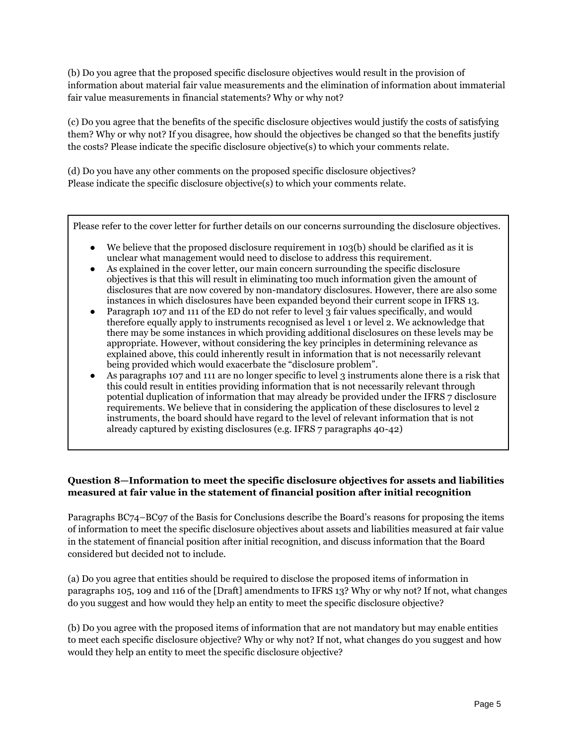(b) Do you agree that the proposed specific disclosure objectives would result in the provision of information about material fair value measurements and the elimination of information about immaterial fair value measurements in financial statements? Why or why not?

(c) Do you agree that the benefits of the specific disclosure objectives would justify the costs of satisfying them? Why or why not? If you disagree, how should the objectives be changed so that the benefits justify the costs? Please indicate the specific disclosure objective(s) to which your comments relate.

(d) Do you have any other comments on the proposed specific disclosure objectives? Please indicate the specific disclosure objective(s) to which your comments relate.

Please refer to the cover letter for further details on our concerns surrounding the disclosure objectives.

- We believe that the proposed disclosure requirement in  $103(b)$  should be clarified as it is unclear what management would need to disclose to address this requirement.
- As explained in the cover letter, our main concern surrounding the specific disclosure objectives is that this will result in eliminating too much information given the amount of disclosures that are now covered by non-mandatory disclosures. However, there are also some instances in which disclosures have been expanded beyond their current scope in IFRS 13.
- Paragraph 107 and 111 of the ED do not refer to level 3 fair values specifically, and would therefore equally apply to instruments recognised as level 1 or level 2. We acknowledge that there may be some instances in which providing additional disclosures on these levels may be appropriate. However, without considering the key principles in determining relevance as explained above, this could inherently result in information that is not necessarily relevant being provided which would exacerbate the "disclosure problem".
- As paragraphs 107 and 111 are no longer specific to level 3 instruments alone there is a risk that this could result in entities providing information that is not necessarily relevant through potential duplication of information that may already be provided under the IFRS 7 disclosure requirements. We believe that in considering the application of these disclosures to level 2 instruments, the board should have regard to the level of relevant information that is not already captured by existing disclosures (e.g. IFRS 7 paragraphs 40-42)

# **Question 8—Information to meet the specific disclosure objectives for assets and liabilities measured at fair value in the statement of financial position after initial recognition**

Paragraphs BC74–BC97 of the Basis for Conclusions describe the Board's reasons for proposing the items of information to meet the specific disclosure objectives about assets and liabilities measured at fair value in the statement of financial position after initial recognition, and discuss information that the Board considered but decided not to include.

(a) Do you agree that entities should be required to disclose the proposed items of information in paragraphs 105, 109 and 116 of the [Draft] amendments to IFRS 13? Why or why not? If not, what changes do you suggest and how would they help an entity to meet the specific disclosure objective?

(b) Do you agree with the proposed items of information that are not mandatory but may enable entities to meet each specific disclosure objective? Why or why not? If not, what changes do you suggest and how would they help an entity to meet the specific disclosure objective?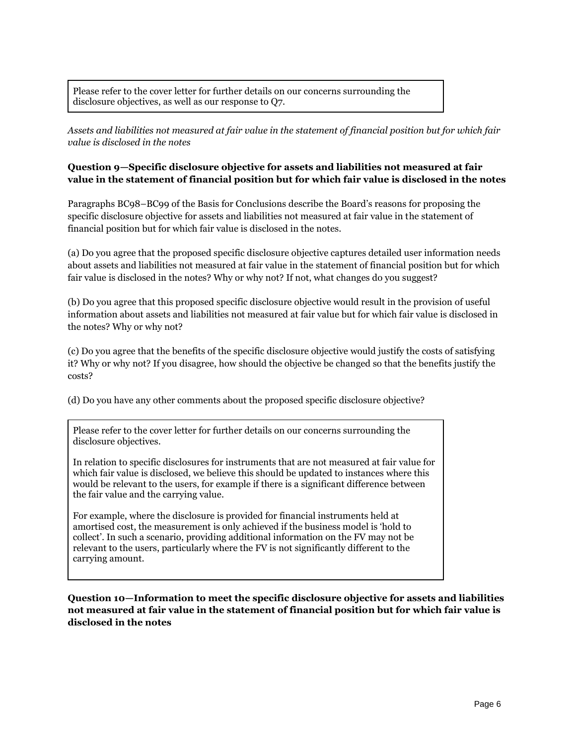Please refer to the cover letter for further details on our concerns surrounding the disclosure objectives, as well as our response to Q7.

*Assets and liabilities not measured at fair value in the statement of financial position but for which fair value is disclosed in the notes*

#### **Question 9—Specific disclosure objective for assets and liabilities not measured at fair value in the statement of financial position but for which fair value is disclosed in the notes**

Paragraphs BC98–BC99 of the Basis for Conclusions describe the Board's reasons for proposing the specific disclosure objective for assets and liabilities not measured at fair value in the statement of financial position but for which fair value is disclosed in the notes.

(a) Do you agree that the proposed specific disclosure objective captures detailed user information needs about assets and liabilities not measured at fair value in the statement of financial position but for which fair value is disclosed in the notes? Why or why not? If not, what changes do you suggest?

(b) Do you agree that this proposed specific disclosure objective would result in the provision of useful information about assets and liabilities not measured at fair value but for which fair value is disclosed in the notes? Why or why not?

(c) Do you agree that the benefits of the specific disclosure objective would justify the costs of satisfying it? Why or why not? If you disagree, how should the objective be changed so that the benefits justify the costs?

(d) Do you have any other comments about the proposed specific disclosure objective?

Please refer to the cover letter for further details on our concerns surrounding the disclosure objectives.

In relation to specific disclosures for instruments that are not measured at fair value for which fair value is disclosed, we believe this should be updated to instances where this would be relevant to the users, for example if there is a significant difference between the fair value and the carrying value.

For example, where the disclosure is provided for financial instruments held at amortised cost, the measurement is only achieved if the business model is 'hold to collect'. In such a scenario, providing additional information on the FV may not be relevant to the users, particularly where the FV is not significantly different to the carrying amount.

**Question 10—Information to meet the specific disclosure objective for assets and liabilities not measured at fair value in the statement of financial position but for which fair value is disclosed in the notes**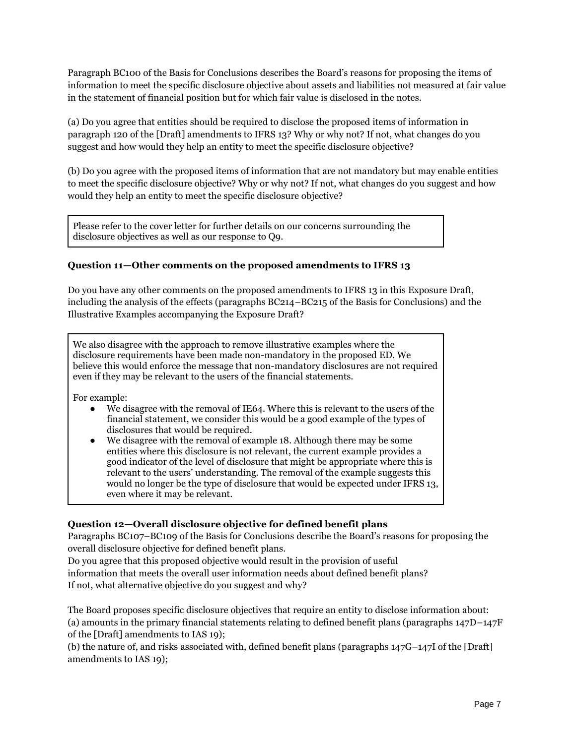Paragraph BC100 of the Basis for Conclusions describes the Board's reasons for proposing the items of information to meet the specific disclosure objective about assets and liabilities not measured at fair value in the statement of financial position but for which fair value is disclosed in the notes.

(a) Do you agree that entities should be required to disclose the proposed items of information in paragraph 120 of the [Draft] amendments to IFRS 13? Why or why not? If not, what changes do you suggest and how would they help an entity to meet the specific disclosure objective?

(b) Do you agree with the proposed items of information that are not mandatory but may enable entities to meet the specific disclosure objective? Why or why not? If not, what changes do you suggest and how would they help an entity to meet the specific disclosure objective?

Please refer to the cover letter for further details on our concerns surrounding the disclosure objectives as well as our response to Q9.

# **Question 11—Other comments on the proposed amendments to IFRS 13**

Do you have any other comments on the proposed amendments to IFRS 13 in this Exposure Draft, including the analysis of the effects (paragraphs BC214–BC215 of the Basis for Conclusions) and the Illustrative Examples accompanying the Exposure Draft?

We also disagree with the approach to remove illustrative examples where the disclosure requirements have been made non-mandatory in the proposed ED. We believe this would enforce the message that non-mandatory disclosures are not required even if they may be relevant to the users of the financial statements.

For example:

- We disagree with the removal of IE64. Where this is relevant to the users of the financial statement, we consider this would be a good example of the types of disclosures that would be required.
- We disagree with the removal of example 18. Although there may be some entities where this disclosure is not relevant, the current example provides a good indicator of the level of disclosure that might be appropriate where this is relevant to the users' understanding. The removal of the example suggests this would no longer be the type of disclosure that would be expected under IFRS 13, even where it may be relevant.

#### **Question 12—Overall disclosure objective for defined benefit plans**

Paragraphs BC107–BC109 of the Basis for Conclusions describe the Board's reasons for proposing the overall disclosure objective for defined benefit plans.

Do you agree that this proposed objective would result in the provision of useful information that meets the overall user information needs about defined benefit plans? If not, what alternative objective do you suggest and why?

The Board proposes specific disclosure objectives that require an entity to disclose information about: (a) amounts in the primary financial statements relating to defined benefit plans (paragraphs  $147D-147F$ of the [Draft] amendments to IAS 19);

(b) the nature of, and risks associated with, defined benefit plans (paragraphs 147G–147I of the [Draft] amendments to IAS 19);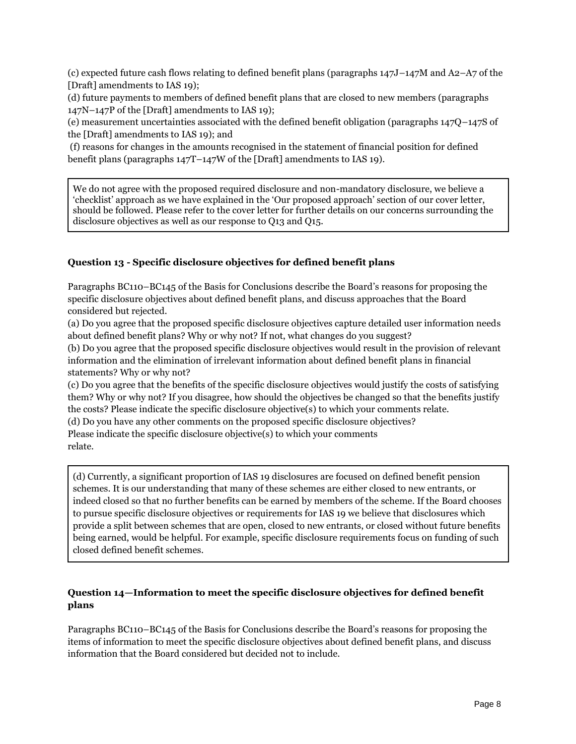(c) expected future cash flows relating to defined benefit plans (paragraphs 147J–147M and A2–A7 of the [Draft] amendments to IAS 19);

(d) future payments to members of defined benefit plans that are closed to new members (paragraphs 147N–147P of the [Draft] amendments to IAS 19);

(e) measurement uncertainties associated with the defined benefit obligation (paragraphs 147Q–147S of the [Draft] amendments to IAS 19); and

(f) reasons for changes in the amounts recognised in the statement of financial position for defined benefit plans (paragraphs 147T–147W of the [Draft] amendments to IAS 19).

We do not agree with the proposed required disclosure and non-mandatory disclosure, we believe a 'checklist' approach as we have explained in the 'Our proposed approach' section of our cover letter, should be followed. Please refer to the cover letter for further details on our concerns surrounding the disclosure objectives as well as our response to Q13 and Q15.

# **Question 13 - Specific disclosure objectives for defined benefit plans**

Paragraphs BC110–BC145 of the Basis for Conclusions describe the Board's reasons for proposing the specific disclosure objectives about defined benefit plans, and discuss approaches that the Board considered but rejected.

(a) Do you agree that the proposed specific disclosure objectives capture detailed user information needs about defined benefit plans? Why or why not? If not, what changes do you suggest?

(b) Do you agree that the proposed specific disclosure objectives would result in the provision of relevant information and the elimination of irrelevant information about defined benefit plans in financial statements? Why or why not?

(c) Do you agree that the benefits of the specific disclosure objectives would justify the costs of satisfying them? Why or why not? If you disagree, how should the objectives be changed so that the benefits justify the costs? Please indicate the specific disclosure objective(s) to which your comments relate.

(d) Do you have any other comments on the proposed specific disclosure objectives?

Please indicate the specific disclosure objective(s) to which your comments relate.

(d) Currently, a significant proportion of IAS 19 disclosures are focused on defined benefit pension schemes. It is our understanding that many of these schemes are either closed to new entrants, or indeed closed so that no further benefits can be earned by members of the scheme. If the Board chooses to pursue specific disclosure objectives or requirements for IAS 19 we believe that disclosures which provide a split between schemes that are open, closed to new entrants, or closed without future benefits being earned, would be helpful. For example, specific disclosure requirements focus on funding of such closed defined benefit schemes.

# **Question 14—Information to meet the specific disclosure objectives for defined benefit plans**

Paragraphs BC110–BC145 of the Basis for Conclusions describe the Board's reasons for proposing the items of information to meet the specific disclosure objectives about defined benefit plans, and discuss information that the Board considered but decided not to include.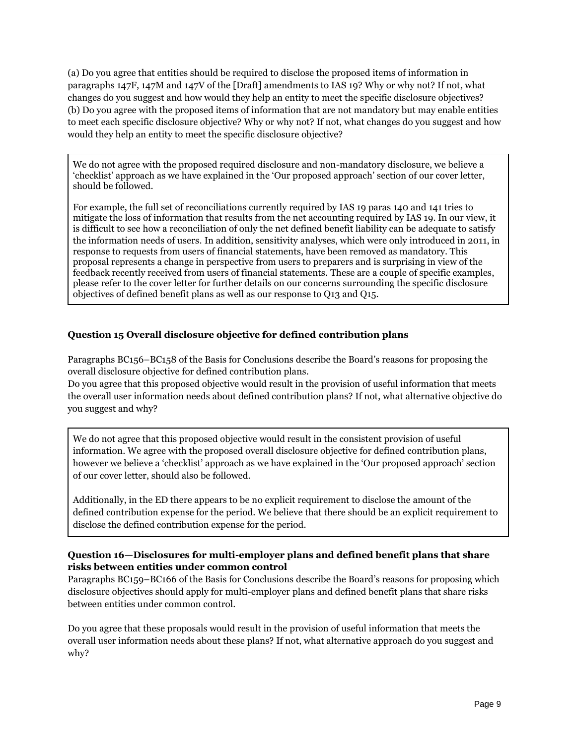(a) Do you agree that entities should be required to disclose the proposed items of information in paragraphs 147F, 147M and 147V of the [Draft] amendments to IAS 19? Why or why not? If not, what changes do you suggest and how would they help an entity to meet the specific disclosure objectives? (b) Do you agree with the proposed items of information that are not mandatory but may enable entities to meet each specific disclosure objective? Why or why not? If not, what changes do you suggest and how would they help an entity to meet the specific disclosure objective?

We do not agree with the proposed required disclosure and non-mandatory disclosure, we believe a 'checklist' approach as we have explained in the 'Our proposed approach' section of our cover letter, should be followed.

For example, the full set of reconciliations currently required by IAS 19 paras 140 and 141 tries to mitigate the loss of information that results from the net accounting required by IAS 19. In our view, it is difficult to see how a reconciliation of only the net defined benefit liability can be adequate to satisfy the information needs of users. In addition, sensitivity analyses, which were only introduced in 2011, in response to requests from users of financial statements, have been removed as mandatory. This proposal represents a change in perspective from users to preparers and is surprising in view of the feedback recently received from users of financial statements. These are a couple of specific examples, please refer to the cover letter for further details on our concerns surrounding the specific disclosure objectives of defined benefit plans as well as our response to Q13 and Q15.

# **Question 15 Overall disclosure objective for defined contribution plans**

Paragraphs BC156–BC158 of the Basis for Conclusions describe the Board's reasons for proposing the overall disclosure objective for defined contribution plans.

Do you agree that this proposed objective would result in the provision of useful information that meets the overall user information needs about defined contribution plans? If not, what alternative objective do you suggest and why?

We do not agree that this proposed objective would result in the consistent provision of useful information. We agree with the proposed overall disclosure objective for defined contribution plans, however we believe a 'checklist' approach as we have explained in the 'Our proposed approach' section of our cover letter, should also be followed.

Additionally, in the ED there appears to be no explicit requirement to disclose the amount of the defined contribution expense for the period. We believe that there should be an explicit requirement to disclose the defined contribution expense for the period.

# **Question 16—Disclosures for multi-employer plans and defined benefit plans that share risks between entities under common control**

Paragraphs BC159–BC166 of the Basis for Conclusions describe the Board's reasons for proposing which disclosure objectives should apply for multi-employer plans and defined benefit plans that share risks between entities under common control.

Do you agree that these proposals would result in the provision of useful information that meets the overall user information needs about these plans? If not, what alternative approach do you suggest and why?